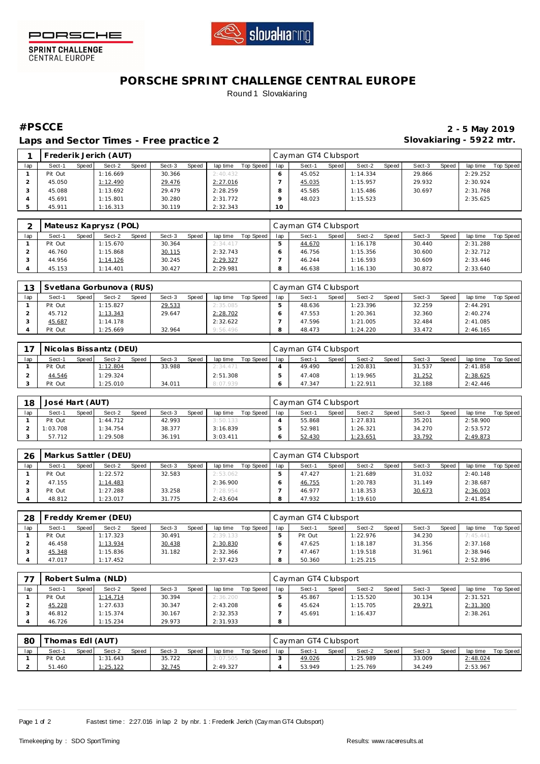

PORSCHE

**SPRINT CHALLENGE**<br>CENTRAL EUROPE

## **PORSCHE SPRINT CHALLENGE CENTRAL EUROPE** Round 1 Slovakiaring

Laps and Sector Times - Free practice 2 **Slovakiaring - 5922 mtr.** 

**#PSCCE 2 - 5 May 2019**

|     |         |         | Frederik Jerich (AUT) |       |        |       |          |           |     | Cayman GT4 Clubsport |       |          |         |        |       |          |           |
|-----|---------|---------|-----------------------|-------|--------|-------|----------|-----------|-----|----------------------|-------|----------|---------|--------|-------|----------|-----------|
| lap | Sect-1  | Speed I | Sect-2                | Speed | Sect-3 | Speed | lap time | Top Speed | lap | Sect-1               | Speed | Sect-2   | Speed I | Sect-3 | Speed | lap time | Top Speed |
|     | Pit Out |         | 1:16.669              |       | 30.366 |       | 2:40.432 |           |     | 45.052               |       | 1:14.334 |         | 29.866 |       | 2:29.252 |           |
|     | 45.050  |         | 1:12.490              |       | 29.476 |       | 2:27.016 |           |     | 45.035               |       | 1:15.957 |         | 29.932 |       | 2:30.924 |           |
|     | 45.088  |         | 1:13.692              |       | 29.479 |       | 2:28.259 |           |     | 45.585               |       | 1:15.486 |         | 30.697 |       | 2:31.768 |           |
|     | 45.691  |         | 1:15.801              |       | 30.280 |       | 2:31.772 |           |     | 48.023               |       | 1:15.523 |         |        |       | 2:35.625 |           |
|     | 45.911  |         | 1:16.313              |       | 30.119 |       | 2:32.343 |           | 10  |                      |       |          |         |        |       |          |           |

|     |         |       | Mateusz Kaprysz (POL) |       |        |       |          |           |     | Cayman GT4 Clubsport |       |          |       |        |       |          |           |
|-----|---------|-------|-----------------------|-------|--------|-------|----------|-----------|-----|----------------------|-------|----------|-------|--------|-------|----------|-----------|
| lap | Sect-1  | Speed | Sect-2                | Speed | Sect-3 | Speed | lap time | Top Speed | lap | Sect-1               | Speed | Sect-2   | Speed | Sect-3 | Speed | lap time | Top Speed |
|     | Pit Out |       | 1:15.670              |       | 30.364 |       | 2:34.417 |           |     | 44.670               |       | 1:16.178 |       | 30.440 |       | 2:31.288 |           |
|     | 46.760  |       | 1:15.868              |       | 30.115 |       | 2:32.743 |           |     | 46.756               |       | 1:15.356 |       | 30.600 |       | 2:32.712 |           |
|     | 44.956  |       | 1:14.126              |       | 30.245 |       | 2:29.327 |           |     | 46.244               |       | 1:16.593 |       | 30.609 |       | 2:33.446 |           |
|     | 45.153  |       | : 14.401              |       | 30.427 |       | 2:29.981 |           |     | 46.638               |       | 1:16.130 |       | 30.872 |       | 2:33.640 |           |

| 13  |         |       | Svetlana Gorbunova (RUS) |              |        |       |          |           |     | l Cavman GT4 Clubsport |       |          |       |        |       |          |           |
|-----|---------|-------|--------------------------|--------------|--------|-------|----------|-----------|-----|------------------------|-------|----------|-------|--------|-------|----------|-----------|
| lap | Sect-1  | Speed | Sect-2                   | <b>Speed</b> | Sect-3 | Speed | lap time | Top Speed | lap | Sect-                  | Speed | Sect-2   | Speed | Sect-3 | Speed | lap time | Top Speed |
|     | Pit Out |       | 1:15.827                 |              | 29.533 |       | 2:35.085 |           |     | 48.636                 |       | 1:23.396 |       | 32.259 |       | 2:44.291 |           |
|     | 45.712  |       | 1:13.343                 |              | 29.647 |       | 2:28.702 |           |     | 47.553                 |       | 1:20.361 |       | 32.360 |       | 2:40.274 |           |
|     | 45.687  |       | 1:14.178                 |              |        |       | 2:32.622 |           |     | 47.596                 |       | 1:21.005 |       | 32.484 |       | 2:41.085 |           |
|     | Pit Out |       | : 25.669                 |              | 32.964 |       | 9:56.496 |           |     | 48.473                 |       | 1:24.220 |       | 33.472 |       | 2:46.165 |           |

|     |         |       | Nicolas Bissantz (DEU) |              |        |              |          |           |     | Cayman GT4 Clubsport |       |          |       |        |              |          |           |
|-----|---------|-------|------------------------|--------------|--------|--------------|----------|-----------|-----|----------------------|-------|----------|-------|--------|--------------|----------|-----------|
| lap | Sect-1  | Speed | Sect-2                 | <b>Speed</b> | Sect-3 | <b>Speed</b> | lap time | Top Speed | lap | Sect-1               | Speed | Sect-2   | Speed | Sect-3 | <b>Speed</b> | lap time | Top Speed |
|     | Pit Out |       | 1:12.804               |              | 33.988 |              | 2:34.471 |           |     | 49.490               |       | 1:20.831 |       | 31.537 |              | 2:41.858 |           |
|     | 44.546  |       | 1:29.324               |              |        |              | 2:51.308 |           |     | 47.408               |       | 1:19.965 |       | 31.252 |              | 2:38.625 |           |
|     | Pit Out |       | 1:25.010               |              | 34.011 |              | 8:07.939 |           |     | 47.347               |       | 1:22.911 |       | 32.188 |              | 2:42.446 |           |

| 18  | José Hart (AUT) |       |          |       |        |       |          |           |     | Cayman GT4 Clubsport |       |          |       |        |              |          |           |
|-----|-----------------|-------|----------|-------|--------|-------|----------|-----------|-----|----------------------|-------|----------|-------|--------|--------------|----------|-----------|
| lap | Sect-1          | Speed | Sect-2   | Speed | Sect-3 | Speed | lap time | Top Speed | lap | Sect-1               | Speed | Sect-2   | Speed | Sect-3 | <b>Speed</b> | lap time | Top Speed |
|     | Pit Out         |       | 1:44.712 |       | 42.993 |       | 3:50.133 |           |     | 55.868               |       | 1:27.831 |       | 35.201 |              | 2:58.900 |           |
|     | 1:03.708        |       | 1:34.754 |       | 38.377 |       | 3:16.839 |           |     | 52.981               |       | 1:26.321 |       | 34.270 |              | 2:53.572 |           |
|     | 57.712          |       | 1:29.508 |       | 36.191 |       | 3:03.411 |           |     | 52.430               |       | 1:23.651 |       | 33.792 |              | 2:49.873 |           |

| 26  |         |       | Markus Sattler (DEU) |       |        |       |          |           |     | Cayman GT4 Clubsport |       |          |       |        |       |          |           |
|-----|---------|-------|----------------------|-------|--------|-------|----------|-----------|-----|----------------------|-------|----------|-------|--------|-------|----------|-----------|
| lap | Sect-1  | Speed | Sect-2               | Speed | Sect-3 | Speed | lap time | Top Speed | lap | Sect-1               | Speed | Sect-2   | Speed | Sect-3 | Speed | lap time | Top Speed |
|     | Pit Out |       | 1:22.572             |       | 32.583 |       | 2:53.062 |           |     | 47.427               |       | 1:21.689 |       | 31.032 |       | 2:40.148 |           |
|     | 47.155  |       | 1:14.483             |       |        |       | 2:36.900 |           |     | 46.755               |       | 1:20.783 |       | 31.149 |       | 2:38.687 |           |
|     | Pit Out |       | 1:27.288             |       | 33.258 |       | 7:28.954 |           |     | 46.977               |       | 1:18.353 |       | 30.673 |       | 2:36.003 |           |
|     | 48.812  |       | 1:23.017             |       | 31.775 |       | 2:43.604 |           |     | 47.932               |       | 1:19.610 |       |        |       | 2:41.854 |           |

| 28  |         |       | Freddy Kremer (DEU) |              |        |       |          |           |     | Cayman GT4 Clubsport |         |          |       |        |       |          |           |
|-----|---------|-------|---------------------|--------------|--------|-------|----------|-----------|-----|----------------------|---------|----------|-------|--------|-------|----------|-----------|
| lap | Sect-1  | Speed | Sect-2              | <b>Speed</b> | Sect-3 | Speed | lap time | Top Speed | lap | Sect-1               | Speed I | Sect-2   | Speed | Sect-3 | Speed | lap time | Top Speed |
|     | Pit Out |       | 1:17.323            |              | 30.491 |       | 2:39.133 |           |     | Pit Out              |         | 1:22.976 |       | 34.230 |       | 7:45.441 |           |
|     | 46.458  |       | 1:13.934            |              | 30.438 |       | 2:30.830 |           |     | 47.625               |         | 1:18.187 |       | 31.356 |       | 2:37.168 |           |
|     | 45.348  |       | 1:15.836            |              | 31.182 |       | 2:32.366 |           |     | 47.467               |         | 1:19.518 |       | 31.961 |       | 2:38.946 |           |
|     | 47.017  |       | 1:17.452            |              |        |       | 2:37.423 |           |     | 50.360               |         | 1:25.215 |       |        |       | 2:52.896 |           |

| $\neg$ $\neg$ |         |       | Robert Sulma (NLD) |       |        |       |          |           |     | Cayman GT4 Clubsport |         |          |         |        |       |          |           |
|---------------|---------|-------|--------------------|-------|--------|-------|----------|-----------|-----|----------------------|---------|----------|---------|--------|-------|----------|-----------|
| lap           | Sect-1  | Speed | Sect-2             | Speed | Sect-3 | Speed | lap time | Top Speed | lap | Sect-1               | Speed I | Sect-2   | Speed i | Sect-3 | Speed | lap time | Top Speed |
|               | Pit Out |       | 1:14.714           |       | 30.394 |       | 2:36.200 |           |     | 45.867               |         | 1:15.520 |         | 30.134 |       | 2:31.521 |           |
|               | 45.228  |       | 1:27.633           |       | 30.347 |       | 2:43.208 |           |     | 45.624               |         | 1:15.705 |         | 29.971 |       | 2:31.300 |           |
|               | 46.812  |       | 1:15.374           |       | 30.167 |       | 2:32.353 |           |     | 45.691               |         | 1:16.437 |         |        |       | 2:38.261 |           |
|               | 46.726  |       | 1:15.234           |       | 29.973 |       | 2:31.933 |           | 8   |                      |         |          |         |        |       |          |           |

| 80  | 「homas Edl (AUT) |       |          |       |        |       |          |           |     | Cayman GT4 Clubsport |         |          |       |        |              |          |           |
|-----|------------------|-------|----------|-------|--------|-------|----------|-----------|-----|----------------------|---------|----------|-------|--------|--------------|----------|-----------|
| lap | Sect-1           | Speed | Sect-2   | Speed | Sect-3 | Speed | lap time | Top Speed | lap | Sect-1               | Speed I | Sect-2   | Speed | Sect-3 | <b>Speed</b> | lap time | Top Speed |
|     | Pit Out          |       | 1:31.643 |       | 35.722 |       | 3:07.505 |           |     | 49.026               |         | 1:25.989 |       | 33.009 |              | 2:48.024 |           |
|     | 51.460           |       | 1:25.122 |       | 32.745 |       | 2:49.327 |           |     | 53.949               |         | 1:25.769 |       | 34.249 |              | 2:53.967 |           |

Page 1 of 2 Fastest time : 2:27.016 in lap 2 by nbr. 1 : Frederik Jerich (Cay man GT4 Clubsport)